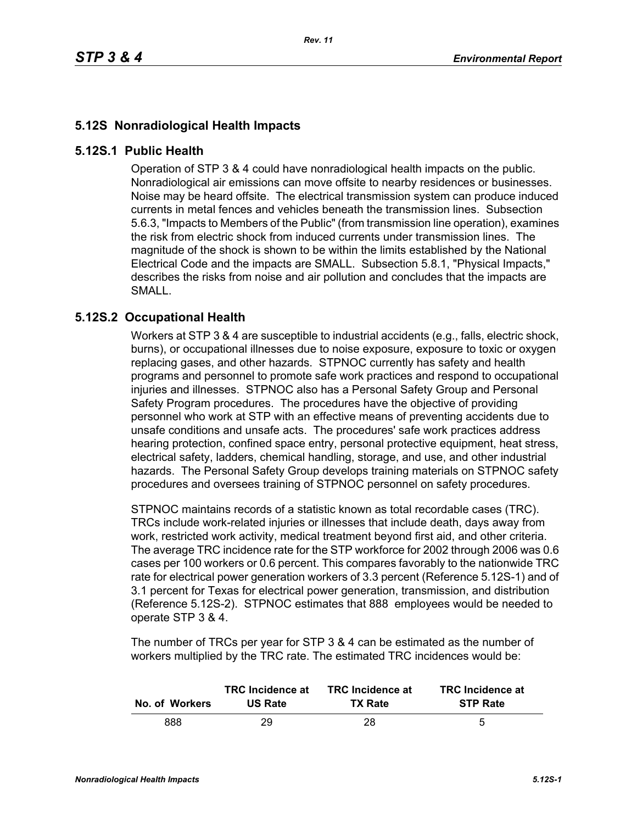## **5.12S Nonradiological Health Impacts**

## **5.12S.1 Public Health**

Operation of STP 3 & 4 could have nonradiological health impacts on the public. Nonradiological air emissions can move offsite to nearby residences or businesses. Noise may be heard offsite. The electrical transmission system can produce induced currents in metal fences and vehicles beneath the transmission lines. Subsection 5.6.3, "Impacts to Members of the Public" (from transmission line operation), examines the risk from electric shock from induced currents under transmission lines. The magnitude of the shock is shown to be within the limits established by the National Electrical Code and the impacts are SMALL. Subsection 5.8.1, "Physical Impacts," describes the risks from noise and air pollution and concludes that the impacts are SMALL.

## **5.12S.2 Occupational Health**

Workers at STP 3 & 4 are susceptible to industrial accidents (e.g., falls, electric shock, burns), or occupational illnesses due to noise exposure, exposure to toxic or oxygen replacing gases, and other hazards. STPNOC currently has safety and health programs and personnel to promote safe work practices and respond to occupational injuries and illnesses. STPNOC also has a Personal Safety Group and Personal Safety Program procedures. The procedures have the objective of providing personnel who work at STP with an effective means of preventing accidents due to unsafe conditions and unsafe acts. The procedures' safe work practices address hearing protection, confined space entry, personal protective equipment, heat stress, electrical safety, ladders, chemical handling, storage, and use, and other industrial hazards. The Personal Safety Group develops training materials on STPNOC safety procedures and oversees training of STPNOC personnel on safety procedures.

STPNOC maintains records of a statistic known as total recordable cases (TRC). TRCs include work-related injuries or illnesses that include death, days away from work, restricted work activity, medical treatment beyond first aid, and other criteria. The average TRC incidence rate for the STP workforce for 2002 through 2006 was 0.6 cases per 100 workers or 0.6 percent. This compares favorably to the nationwide TRC rate for electrical power generation workers of 3.3 percent (Reference 5.12S-1) and of 3.1 percent for Texas for electrical power generation, transmission, and distribution (Reference 5.12S-2). STPNOC estimates that 888 employees would be needed to operate STP 3 & 4.

The number of TRCs per year for STP 3 & 4 can be estimated as the number of workers multiplied by the TRC rate. The estimated TRC incidences would be:

| No. of Workers | <b>TRC</b> Incidence at | <b>TRC</b> Incidence at | <b>TRC</b> Incidence at |
|----------------|-------------------------|-------------------------|-------------------------|
|                | <b>US Rate</b>          | <b>TX Rate</b>          | <b>STP Rate</b>         |
| 888            | 29                      | 28                      | 5                       |